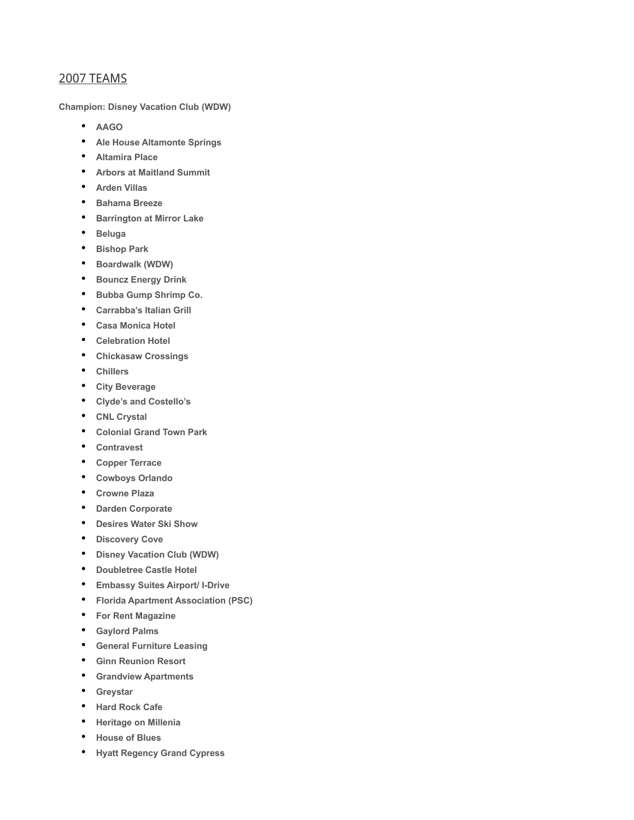## 2007 TEAMS

**Champion: Disney Vacation Club (WDW)**

- **AAGO**
- **Ale House Altamonte Springs**
- **Altamira Place**
- **Arbors at Maitland Summit**
- **Arden Villas**
- **Bahama Breeze**
- **Barrington at Mirror Lake**
- **Beluga**
- **Bishop Park**
- **Boardwalk (WDW)**
- **Bouncz Energy Drink**
- **Bubba Gump Shrimp Co.**
- **Carrabba's Italian Grill**
- **Casa Monica Hotel**
- **Celebration Hotel**
- **Chickasaw Crossings**
- **Chillers**
- **City Beverage**
- **Clyde's and Costello's**
- **CNL Crystal**
- **Colonial Grand Town Park**
- **Contravest**
- **Copper Terrace**
- **Cowboys Orlando**
- **Crowne Plaza**
- **Darden Corporate**
- **Desires Water Ski Show**
- **Discovery Cove**
- **Disney Vacation Club (WDW)**
- **Doubletree Castle Hotel**
- **Embassy Suites Airport/ I-Drive**
- **Florida Apartment Association (PSC)**
- **For Rent Magazine**
- **Gaylord Palms**
- **General Furniture Leasing**
- **Ginn Reunion Resort**
- **Grandview Apartments**
- **Greystar**
- **Hard Rock Cafe**
- **Heritage on Millenia**
- **House of Blues**
- **Hyatt Regency Grand Cypress**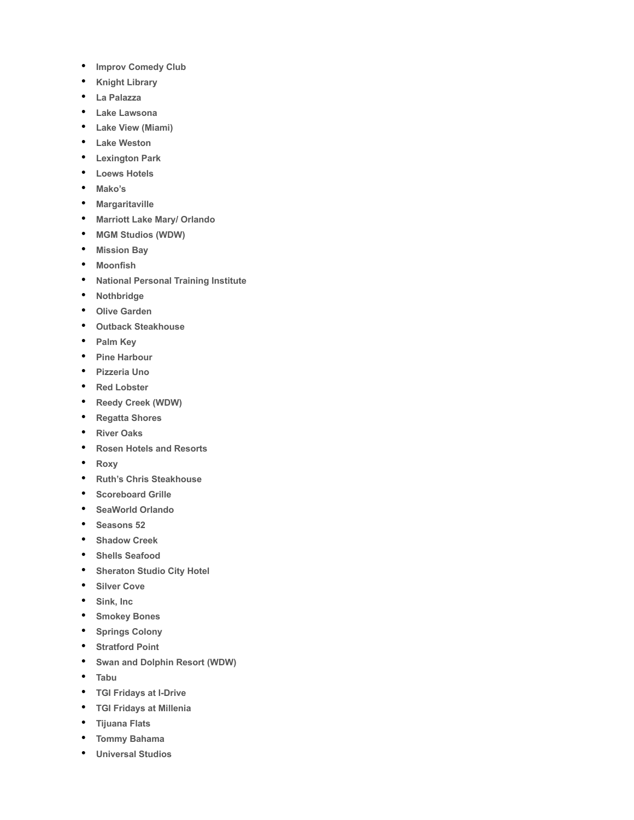- **Improv Comedy Club**
- **Knight Library**
- **La Palazza**
- **Lake Lawsona**
- **Lake View (Miami)**
- **Lake Weston**
- **Lexington Park**
- **Loews Hotels**
- **Mako's**
- **Margaritaville**
- **Marriott Lake Mary/ Orlando**
- **MGM Studios (WDW)**
- **Mission Bay**
- **Moonfish**
- **National Personal Training Institute**
- **Nothbridge**
- **Olive Garden**
- **Outback Steakhouse**
- **Palm Key**
- **Pine Harbour**
- **Pizzeria Uno**
- **Red Lobster**
- **Reedy Creek (WDW)**
- **Regatta Shores**
- **River Oaks**
- **Rosen Hotels and Resorts**
- **Roxy**
- **Ruth's Chris Steakhouse**
- **Scoreboard Grille**
- **SeaWorld Orlando**
- **Seasons 52**
- **Shadow Creek**
- **Shells Seafood**
- **Sheraton Studio City Hotel**
- **Silver Cove**
- **Sink, Inc**
- **Smokey Bones**
- **Springs Colony**
- **Stratford Point**
- **Swan and Dolphin Resort (WDW)**
- **Tabu**
- **TGI Fridays at I-Drive**
- **TGI Fridays at Millenia**
- **Tijuana Flats**
- **Tommy Bahama**
- **Universal Studios**